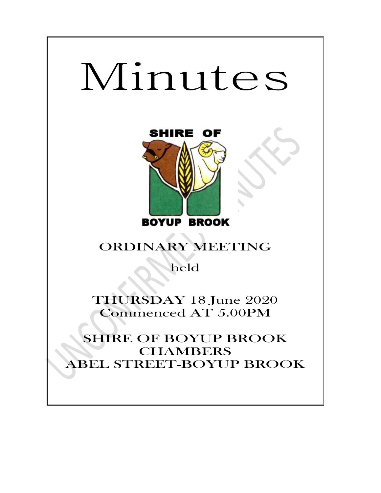# Minutes



# ORDINARY MEETING

held

THURSDAY 18 June 2020 Commenced AT 5.00PM

SHIRE OF BOYUP BROOK **CHAMBERS** ABEL STREET-BOYUP BROOK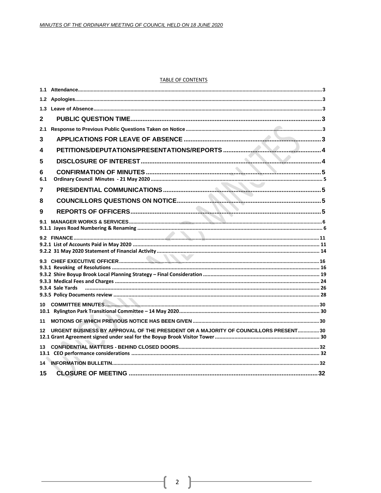#### **TABLE OF CONTENTS**

| 1.3      |                                                                                     |  |
|----------|-------------------------------------------------------------------------------------|--|
| 2        |                                                                                     |  |
| 2.1      |                                                                                     |  |
| 3        |                                                                                     |  |
| 4        |                                                                                     |  |
| 5        |                                                                                     |  |
| 6<br>6.1 |                                                                                     |  |
| 7        |                                                                                     |  |
| 8        |                                                                                     |  |
| 9        |                                                                                     |  |
| 9.1      |                                                                                     |  |
|          |                                                                                     |  |
|          |                                                                                     |  |
| 10.      |                                                                                     |  |
| 11       |                                                                                     |  |
| $12 \,$  | URGENT BUSINESS BY APPROVAL OF THE PRESIDENT OR A MAJORITY OF COUNCILLORS PRESENT30 |  |
| 13       |                                                                                     |  |
| 14       |                                                                                     |  |
| 15       |                                                                                     |  |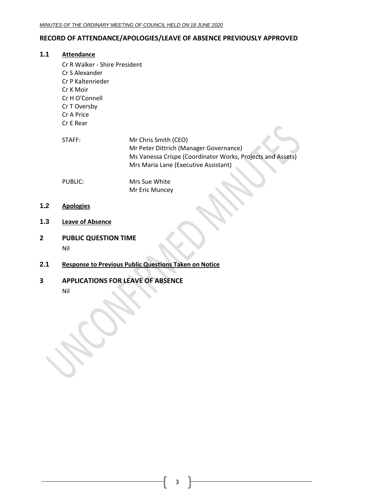#### **RECORD OF ATTENDANCE/APOLOGIES/LEAVE OF ABSENCE PREVIOUSLY APPROVED**

#### <span id="page-2-0"></span>**1.1 Attendance**

- Cr R Walker Shire President Cr S Alexander Cr P Kaltenrieder Cr K Moir Cr H O'Connell Cr T Oversby Cr A Price Cr E Rear STAFF: Mr Chris Smith (CEO) Mr Peter Dittrich (Manager Governance) Ms Vanessa Crispe (Coordinator Works, Projects and Assets) Mrs Maria Lane (Executive Assistant) PUBLIC: Mrs Sue White Mr Eric Muncey
- <span id="page-2-1"></span>**1.2 Apologies**
- <span id="page-2-2"></span>**1.3 Leave of Absence**
- <span id="page-2-3"></span>**2 PUBLIC QUESTION TIME** Nil
- <span id="page-2-4"></span>**2.1 Response to Previous Public Questions Taken on Notice**
- <span id="page-2-5"></span>**3 APPLICATIONS FOR LEAVE OF ABSENCE**
	- Nil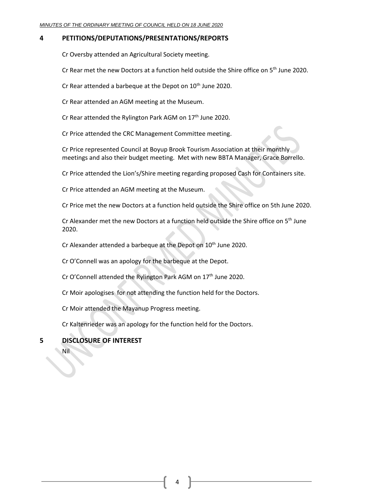#### <span id="page-3-0"></span>**4 PETITIONS/DEPUTATIONS/PRESENTATIONS/REPORTS**

Cr Oversby attended an Agricultural Society meeting.

Cr Rear met the new Doctors at a function held outside the Shire office on 5<sup>th</sup> June 2020.

Cr Rear attended a barbeque at the Depot on 10<sup>th</sup> June 2020.

Cr Rear attended an AGM meeting at the Museum.

Cr Rear attended the Rylington Park AGM on  $17<sup>th</sup>$  June 2020.

Cr Price attended the CRC Management Committee meeting.

Cr Price represented Council at Boyup Brook Tourism Association at their monthly meetings and also their budget meeting. Met with new BBTA Manager, Grace Borrello.

Cr Price attended the Lion's/Shire meeting regarding proposed Cash for Containers site.

Cr Price attended an AGM meeting at the Museum.

Cr Price met the new Doctors at a function held outside the Shire office on 5th June 2020.

Cr Alexander met the new Doctors at a function held outside the Shire office on  $5<sup>th</sup>$  June 2020.

Cr Alexander attended a barbeque at the Depot on 10<sup>th</sup> June 2020.

Cr O'Connell was an apology for the barbeque at the Depot.

Cr O'Connell attended the Rylington Park AGM on 17<sup>th</sup> June 2020.

Cr Moir apologises for not attending the function held for the Doctors.

Cr Moir attended the Mayanup Progress meeting.

Cr Kaltenrieder was an apology for the function held for the Doctors.

## <span id="page-3-1"></span>**5 DISCLOSURE OF INTEREST**

Nil

4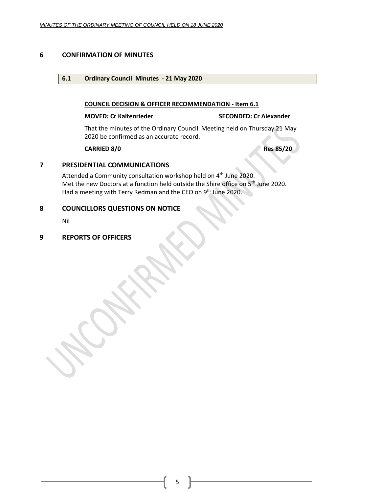#### <span id="page-4-1"></span><span id="page-4-0"></span>**6 CONFIRMATION OF MINUTES**

#### **6.1 Ordinary Council Minutes - 21 May 2020**

#### **COUNCIL DECISION & OFFICER RECOMMENDATION - Item 6.1**

#### **MOVED: Cr Kaltenrieder SECONDED: Cr Alexander**

That the minutes of the Ordinary Council Meeting held on Thursday 21 May 2020 be confirmed as an accurate record.

**CARRIED 8/0 Res 85/20**

#### <span id="page-4-2"></span>**7 PRESIDENTIAL COMMUNICATIONS**

Attended a Community consultation workshop held on 4<sup>th</sup> June 2020. Met the new Doctors at a function held outside the Shire office on 5<sup>th</sup> June 2020. Had a meeting with Terry Redman and the CEO on 9<sup>th</sup> June 2020.

#### <span id="page-4-3"></span>**8 COUNCILLORS QUESTIONS ON NOTICE**

Nil

#### <span id="page-4-4"></span>**9 REPORTS OF OFFICERS**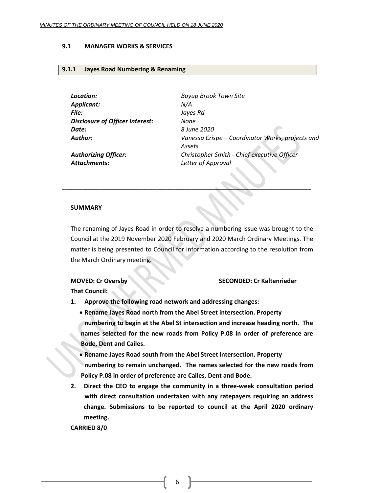#### <span id="page-5-0"></span>**9.1 MANAGER WORKS & SERVICES**

#### <span id="page-5-1"></span>**9.1.1 Jayes Road Numbering & Renaming**

*Location: Boyup Brook Town Site Applicant: N/A File: Jayes Rd Disclosure of Officer Interest: None Date: 8 June 2020*

*Author: Vanessa Crispe – Coordinator Works, projects and Assets Authorizing Officer: Christopher Smith - Chief executive Officer*

*Attachments: Letter of Approval*

#### **SUMMARY**

The renaming of Jayes Road in order to resolve a numbering issue was brought to the Council at the 2019 November 2020 February and 2020 March Ordinary Meetings. The matter is being presented to Council for information according to the resolution from the March Ordinary meeting.

\_\_\_\_\_\_\_\_\_\_\_\_\_\_\_\_\_\_\_\_\_\_\_\_\_\_\_\_\_\_\_\_\_\_\_\_\_\_\_\_\_\_\_\_\_\_\_\_\_\_\_\_\_\_\_\_\_\_\_\_\_\_\_\_\_\_\_\_\_\_\_\_\_

#### **MOVED: Cr Oversby SECONDED: Cr Kaltenrieder**

**That Council:**

- **1. Approve the following road network and addressing changes:**
	- **Rename Jayes Road north from the Abel Street intersection. Property numbering to begin at the Abel St intersection and increase heading north. The names selected for the new roads from Policy P.08 in order of preference are Bode, Dent and Cailes.**
	- **Rename Jayes Road south from the Abel Street intersection. Property numbering to remain unchanged. The names selected for the new roads from Policy P.08 in order of preference are Cailes, Dent and Bode.**
- **2. Direct the CEO to engage the community in a three-week consultation period with direct consultation undertaken with any ratepayers requiring an address change. Submissions to be reported to council at the April 2020 ordinary meeting.**

**CARRIED 8/0**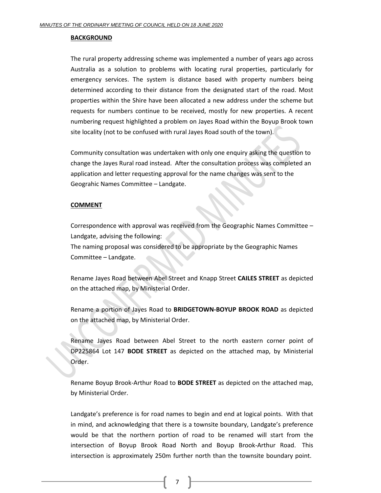#### **BACKGROUND**

The rural property addressing scheme was implemented a number of years ago across Australia as a solution to problems with locating rural properties, particularly for emergency services. The system is distance based with property numbers being determined according to their distance from the designated start of the road. Most properties within the Shire have been allocated a new address under the scheme but requests for numbers continue to be received, mostly for new properties. A recent numbering request highlighted a problem on Jayes Road within the Boyup Brook town site locality (not to be confused with rural Jayes Road south of the town).

Community consultation was undertaken with only one enquiry asking the question to change the Jayes Rural road instead. After the consultation process was completed an application and letter requesting approval for the name changes was sent to the Geograhic Names Committee – Landgate.

#### **COMMENT**

Correspondence with approval was received from the Geographic Names Committee – Landgate, advising the following: The naming proposal was considered to be appropriate by the Geographic Names Committee – Landgate.

Rename Jayes Road between Abel Street and Knapp Street **CAILES STREET** as depicted on the attached map, by Ministerial Order.

Rename a portion of Jayes Road to **BRIDGETOWN-BOYUP BROOK ROAD** as depicted on the attached map, by Ministerial Order.

Rename Jayes Road between Abel Street to the north eastern corner point of DP225864 Lot 147 **BODE STREET** as depicted on the attached map, by Ministerial Order.

Rename Boyup Brook-Arthur Road to **BODE STREET** as depicted on the attached map, by Ministerial Order.

Landgate's preference is for road names to begin and end at logical points. With that in mind, and acknowledging that there is a townsite boundary, Landgate's preference would be that the northern portion of road to be renamed will start from the intersection of Boyup Brook Road North and Boyup Brook-Arthur Road. This intersection is approximately 250m further north than the townsite boundary point.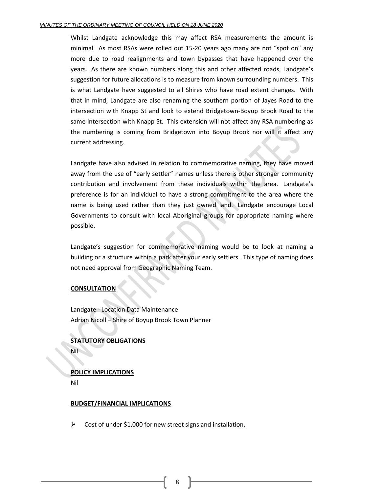Whilst Landgate acknowledge this may affect RSA measurements the amount is minimal. As most RSAs were rolled out 15-20 years ago many are not "spot on" any more due to road realignments and town bypasses that have happened over the years. As there are known numbers along this and other affected roads, Landgate's suggestion for future allocations is to measure from known surrounding numbers. This is what Landgate have suggested to all Shires who have road extent changes. With that in mind, Landgate are also renaming the southern portion of Jayes Road to the intersection with Knapp St and look to extend Bridgetown-Boyup Brook Road to the same intersection with Knapp St. This extension will not affect any RSA numbering as the numbering is coming from Bridgetown into Boyup Brook nor will it affect any current addressing.

Landgate have also advised in relation to commemorative naming, they have moved away from the use of "early settler" names unless there is other stronger community contribution and involvement from these individuals within the area. Landgate's preference is for an individual to have a strong commitment to the area where the name is being used rather than they just owned land. Landgate encourage Local Governments to consult with local Aboriginal groups for appropriate naming where possible.

Landgate's suggestion for commemorative naming would be to look at naming a building or a structure within a park after your early settlers. This type of naming does not need approval from Geographic Naming Team.

#### **CONSULTATION**

Landgate - Location Data Maintenance Adrian Nicoll – Shire of Boyup Brook Town Planner

#### **STATUTORY OBLIGATIONS** Nil

**POLICY IMPLICATIONS**

## Nil

#### **BUDGET/FINANCIAL IMPLICATIONS**

➢ Cost of under \$1,000 for new street signs and installation.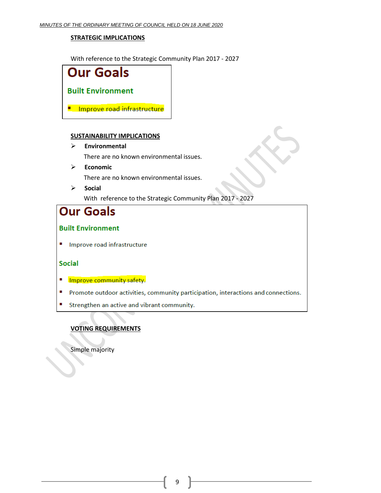#### **STRATEGIC IMPLICATIONS**

With reference to the Strategic Community Plan 2017 - 2027



#### **SUSTAINABILITY IMPLICATIONS**

➢ **Environmental**

There are no known environmental issues.

➢ **Economic**

There are no known environmental issues.

➢ **Social** With reference to the Strategic Community Plan 2017 - 2027

# **Our Goals**

## **Built Environment**

Improve road infrastructure

#### **Social**

- Improve community safety.
- " Promote outdoor activities, community participation, interactions and connections.
- Strengthen an active and vibrant community.

## **VOTING REQUIREMENTS**

Simple majority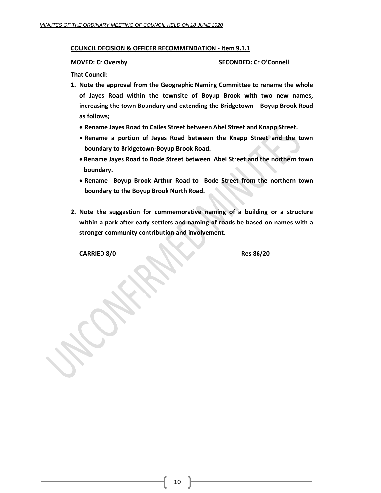#### **COUNCIL DECISION & OFFICER RECOMMENDATION - Item 9.1.1**

**MOVED: Cr Oversby SECONDED: Cr O'Connell**

**That Council:**

- **1. Note the approval from the Geographic Naming Committee to rename the whole of Jayes Road within the townsite of Boyup Brook with two new names, increasing the town Boundary and extending the Bridgetown – Boyup Brook Road as follows;**
	- **Rename Jayes Road to Cailes Street between Abel Street and Knapp Street.**
	- **Rename a portion of Jayes Road between the Knapp Street and the town boundary to Bridgetown-Boyup Brook Road.**
	- **Rename Jayes Road to Bode Street between Abel Street and the northern town boundary.**
	- **Rename Boyup Brook Arthur Road to Bode Street from the northern town boundary to the Boyup Brook North Road.**
- **2. Note the suggestion for commemorative naming of a building or a structure within a park after early settlers and naming of roads be based on names with a stronger community contribution and involvement.**

**CARRIED 8/0 Res 86/20**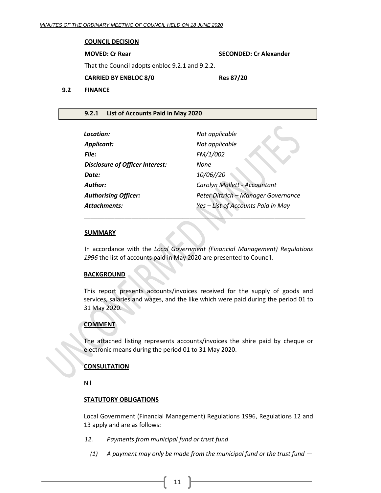#### **COUNCIL DECISION**

**MOVED: Cr Rear SECONDED: Cr Alexander** That the Council adopts enbloc 9.2.1 and 9.2.2. **CARRIED BY ENBLOC 8/0 Res 87/20 9.2 FINANCE**

#### <span id="page-10-1"></span><span id="page-10-0"></span>**9.2.1 List of Accounts Paid in May 2020**

| Location:                              | Not applicable                      |
|----------------------------------------|-------------------------------------|
| <b>Applicant:</b>                      | Not applicable                      |
| File:                                  | FM/1/002                            |
| <b>Disclosure of Officer Interest:</b> | None                                |
| Date:                                  | 10/06//20                           |
| <b>Author:</b>                         | Carolyn Mallett - Accountant        |
| <b>Authorising Officer:</b>            | Peter Dittrich - Manager Governance |
| <b>Attachments:</b>                    | Yes - List of Accounts Paid in May  |
|                                        |                                     |

\_\_\_\_\_\_\_\_\_\_\_\_\_\_\_\_\_\_\_\_\_\_\_\_\_\_\_\_\_\_\_\_\_\_\_\_\_\_\_\_\_\_\_\_\_\_\_\_\_\_\_\_\_\_\_\_\_\_\_\_\_\_\_\_\_

#### **SUMMARY**

In accordance with the *Local Government (Financial Management) Regulations 1996* the list of accounts paid in May 2020 are presented to Council.

#### **BACKGROUND**

This report presents accounts/invoices received for the supply of goods and services, salaries and wages, and the like which were paid during the period 01 to 31 May 2020.

#### **COMMENT**

The attached listing represents accounts/invoices the shire paid by cheque or electronic means during the period 01 to 31 May 2020.

#### **CONSULTATION**

Nil

#### **STATUTORY OBLIGATIONS**

Local Government (Financial Management) Regulations 1996, Regulations 12 and 13 apply and are as follows:

- *12. Payments from municipal fund or trust fund*
	- *(1) A payment may only be made from the municipal fund or the trust fund —*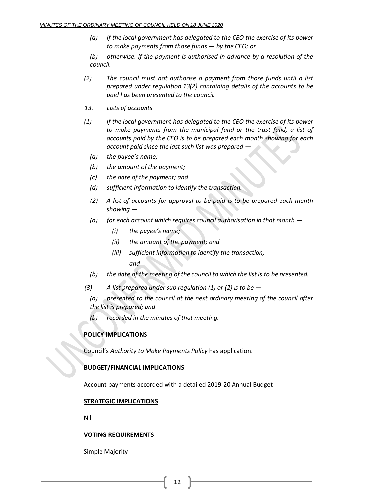*(a) if the local government has delegated to the CEO the exercise of its power to make payments from those funds — by the CEO; or*

*(b) otherwise, if the payment is authorised in advance by a resolution of the council.*

- *(2) The council must not authorise a payment from those funds until a list prepared under regulation 13(2) containing details of the accounts to be paid has been presented to the council.*
- *13. Lists of accounts*
- *(1) If the local government has delegated to the CEO the exercise of its power to make payments from the municipal fund or the trust fund, a list of accounts paid by the CEO is to be prepared each month showing for each account paid since the last such list was prepared —*
	- *(a) the payee's name;*
	- *(b) the amount of the payment;*
	- *(c) the date of the payment; and*
	- *(d) sufficient information to identify the transaction.*
	- *(2) A list of accounts for approval to be paid is to be prepared each month showing —*
	- *(a) for each account which requires council authorisation in that month —*
		- *(i) the payee's name;*
		- *(ii) the amount of the payment; and*
		- *(iii) sufficient information to identify the transaction; and*
	- *(b) the date of the meeting of the council to which the list is to be presented.*
- *(3) A list prepared under sub regulation (1) or (2) is to be —*

*(a) presented to the council at the next ordinary meeting of the council after the list is prepared; and*

*(b) recorded in the minutes of that meeting.*

#### **POLICY IMPLICATIONS**

Council's *Authority to Make Payments Policy* has application.

#### **BUDGET/FINANCIAL IMPLICATIONS**

Account payments accorded with a detailed 2019-20 Annual Budget

#### **STRATEGIC IMPLICATIONS**

Nil

#### **VOTING REQUIREMENTS**

Simple Majority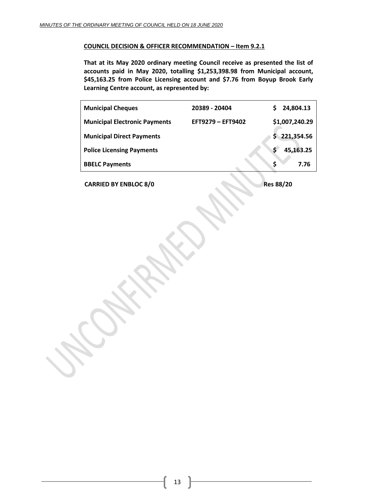#### **COUNCIL DECISION & OFFICER RECOMMENDATION – Item 9.2.1**

**That at its May 2020 ordinary meeting Council receive as presented the list of accounts paid in May 2020, totalling \$1,253,398.98 from Municipal account, \$45,163.25 from Police Licensing account and \$7.76 from Boyup Brook Early Learning Centre account, as represented by:**

| <b>Municipal Cheques</b>             | 20389 - 20404     | 24,804.13<br>S.  |
|--------------------------------------|-------------------|------------------|
| <b>Municipal Electronic Payments</b> | EFT9279 - EFT9402 | \$1,007,240.29   |
| <b>Municipal Direct Payments</b>     |                   | 221,354.56<br>S. |
| <b>Police Licensing Payments</b>     |                   | Ś<br>45,163.25   |
| <b>BBELC Payments</b>                |                   | Ś<br>7.76        |

**CARRIED BY ENBLOC 8/0 Res** 88/20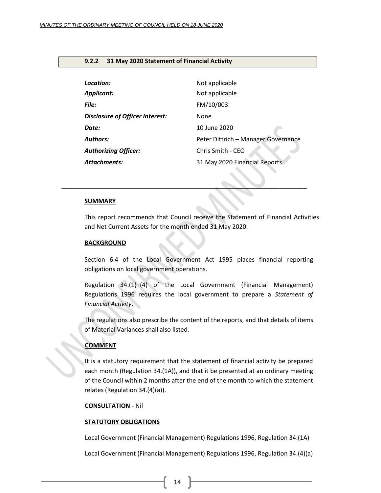#### <span id="page-13-0"></span>**9.2.2 31 May 2020 Statement of Financial Activity**

| Location:                              | Not applicable                      |
|----------------------------------------|-------------------------------------|
| <b>Applicant:</b>                      | Not applicable                      |
| <b>File:</b>                           | FM/10/003                           |
| <b>Disclosure of Officer Interest:</b> | None                                |
| Date:                                  | 10 June 2020                        |
| <b>Authors:</b>                        | Peter Dittrich - Manager Governance |
| <b>Authorizing Officer:</b>            | Chris Smith - CEO                   |
| <b>Attachments:</b>                    | 31 May 2020 Financial Reports       |

*\_\_\_\_\_\_\_\_\_\_\_\_\_\_\_\_\_\_\_\_\_\_\_\_\_\_\_\_\_\_\_\_\_\_\_\_\_\_\_\_\_\_\_\_\_\_\_\_\_\_\_\_\_\_\_\_\_\_\_\_\_\_\_\_\_\_\_\_\_\_\_\_*

#### **SUMMARY**

This report recommends that Council receive the Statement of Financial Activities and Net Current Assets for the month ended 31 May 2020.

#### **BACKGROUND**

Section 6.4 of the Local Government Act 1995 places financial reporting obligations on local government operations.

Regulation 34.(1)–(4) of the Local Government (Financial Management) Regulations 1996 requires the local government to prepare a *Statement of Financial Activity*.

The regulations also prescribe the content of the reports, and that details of items of Material Variances shall also listed.

#### **COMMENT**

It is a statutory requirement that the statement of financial activity be prepared each month (Regulation 34.(1A)), and that it be presented at an ordinary meeting of the Council within 2 months after the end of the month to which the statement relates (Regulation 34.(4)(a)).

#### **CONSULTATION** - Nil

#### **STATUTORY OBLIGATIONS**

Local Government (Financial Management) Regulations 1996, Regulation 34.(1A)

Local Government (Financial Management) Regulations 1996, Regulation 34.(4)(a)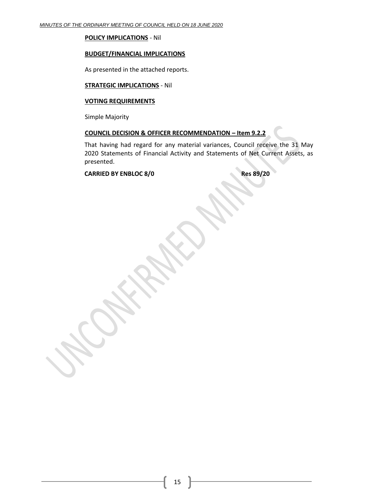**POLICY IMPLICATIONS** - Nil

#### **BUDGET/FINANCIAL IMPLICATIONS**

As presented in the attached reports.

#### **STRATEGIC IMPLICATIONS** - Nil

#### **VOTING REQUIREMENTS**

Simple Majority

## **COUNCIL DECISION & OFFICER RECOMMENDATION – Item 9.2.2**

That having had regard for any material variances, Council receive the 31 May 2020 Statements of Financial Activity and Statements of Net Current Assets, as presented.

#### **CARRIED BY ENBLOC 8/0 Res** 89/20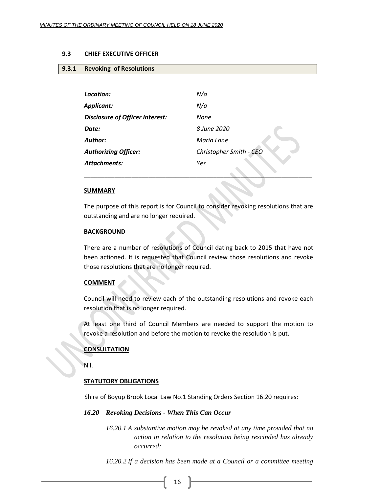#### <span id="page-15-1"></span><span id="page-15-0"></span>**9.3 CHIEF EXECUTIVE OFFICER**

#### **9.3.1 Revoking of Resolutions**

| Location:                              | N/a                     |
|----------------------------------------|-------------------------|
| Applicant:                             | N/a                     |
| <b>Disclosure of Officer Interest:</b> | None                    |
| Date:                                  | 8 June 2020             |
| Author:                                | Maria Lane              |
| <b>Authorizing Officer:</b>            | Christopher Smith - CEO |
| <b>Attachments:</b>                    | Yes                     |
|                                        |                         |

#### **SUMMARY**

The purpose of this report is for Council to consider revoking resolutions that are outstanding and are no longer required.

\_\_\_\_\_\_\_\_\_\_\_\_\_\_\_\_\_\_\_\_\_\_\_\_\_\_\_\_\_\_\_\_\_\_\_\_\_\_\_\_\_\_\_\_\_\_\_\_\_\_\_\_\_\_\_\_\_\_\_\_\_\_\_\_\_\_\_

#### **BACKGROUND**

There are a number of resolutions of Council dating back to 2015 that have not been actioned. It is requested that Council review those resolutions and revoke those resolutions that are no longer required.

#### **COMMENT**

Council will need to review each of the outstanding resolutions and revoke each resolution that is no longer required.

At least one third of Council Members are needed to support the motion to revoke a resolution and before the motion to revoke the resolution is put.

#### **CONSULTATION**

Nil.

#### **STATUTORY OBLIGATIONS**

Shire of Boyup Brook Local Law No.1 Standing Orders Section 16.20 requires:

#### *16.20 Revoking Decisions - When This Can Occur*

*16.20.1 A substantive motion may be revoked at any time provided that no action in relation to the resolution being rescinded has already occurred;*

*16.20.2 If a decision has been made at a Council or a committee meeting*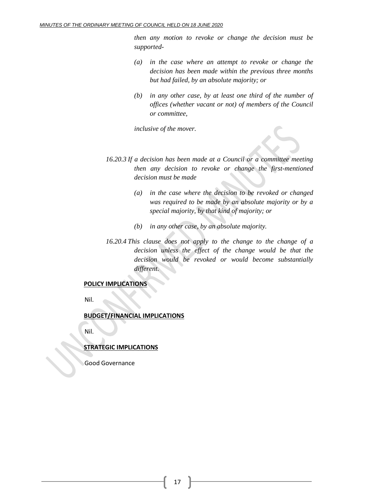*then any motion to revoke or change the decision must be supported-*

- *(a) in the case where an attempt to revoke or change the decision has been made within the previous three months but had failed, by an absolute majority; or*
- *(b) in any other case, by at least one third of the number of offices (whether vacant or not) of members of the Council or committee,*

*inclusive of the mover.*

- *16.20.3 If a decision has been made at a Council or a committee meeting then any decision to revoke or change the first-mentioned decision must be made*
	- *(a) in the case where the decision to be revoked or changed was required to be made by an absolute majority or by a special majority, by that kind of majority; or*
	- *(b) in any other case, by an absolute majority.*
- *16.20.4 This clause does not apply to the change to the change of a decision unless the effect of the change would be that the decision would be revoked or would become substantially different.*

#### **POLICY IMPLICATIONS**

Nil.

#### **BUDGET/FINANCIAL IMPLICATIONS**

Nil.

#### **STRATEGIC IMPLICATIONS**

Good Governance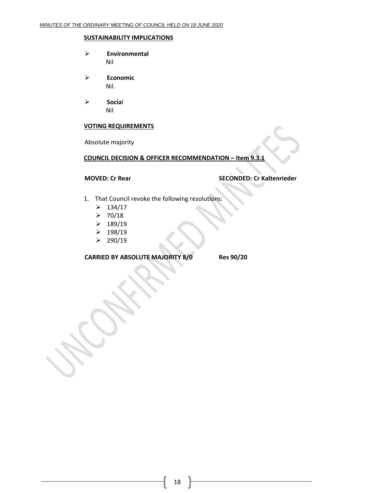#### **SUSTAINABILITY IMPLICATIONS**

- ➢ **Environmental** Nil
- ➢ **Economic** Nil.
- ➢ **Socia**l Nil

#### **VOTING REQUIREMENTS**

Absolute majority

#### **COUNCIL DECISION & OFFICER RECOMMENDATION – Item 9.3.1**

#### **MOVED: Cr Rear SECONDED: Cr Kaltenrieder**

- 1. That Council revoke the following resolutions:
	- $> 134/17$
	- $> 70/18$
	- $\geq 189/19$
	- $\geq 198/19$
	- $\geq$  290/19

**CARRIED BY ABSOLUTE MAJORITY 8/0 Res 90/20**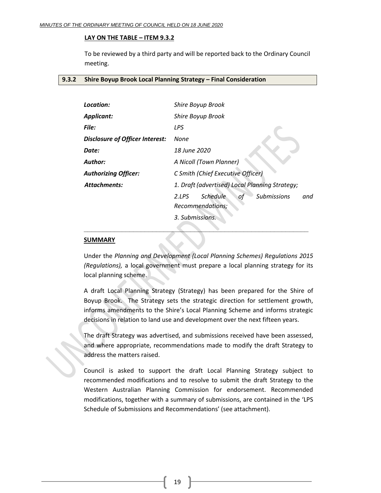#### **LAY ON THE TABLE – ITEM 9.3.2**

To be reviewed by a third party and will be reported back to the Ordinary Council meeting.

#### <span id="page-18-0"></span>**9.3.2 Shire Boyup Brook Local Planning Strategy – Final Consideration**

| Location:                                                        | Shire Boyup Brook                                                               |  |
|------------------------------------------------------------------|---------------------------------------------------------------------------------|--|
| <b>Applicant:</b>                                                | Shire Boyup Brook                                                               |  |
| File:                                                            | LPS                                                                             |  |
| <b>Disclosure of Officer Interest:</b>                           | None                                                                            |  |
| Date:                                                            | 18 June 2020                                                                    |  |
| <b>Author:</b>                                                   | A Nicoll (Town Planner)                                                         |  |
| C Smith (Chief Executive Officer)<br><b>Authorizing Officer:</b> |                                                                                 |  |
| <b>Attachments:</b>                                              | 1. Draft (advertised) Local Planning Strategy;                                  |  |
|                                                                  | <b>Schedule</b><br><b>Submissions</b><br>2.1PS<br>and<br>оt<br>Recommendations; |  |
|                                                                  | 3. Submissions.                                                                 |  |

#### **SUMMARY**

Under the *Planning and Development (Local Planning Schemes) Regulations 2015 (Regulations),* a local government must prepare a local planning strategy for its local planning scheme.

**\_\_\_\_\_\_\_\_\_\_\_\_\_\_\_\_\_\_\_\_\_\_\_\_\_\_\_\_\_\_\_\_\_\_\_\_\_\_\_\_\_\_\_\_\_\_\_\_\_\_\_\_\_\_\_\_\_\_\_**

A draft Local Planning Strategy (Strategy) has been prepared for the Shire of Boyup Brook. The Strategy sets the strategic direction for settlement growth, informs amendments to the Shire's Local Planning Scheme and informs strategic decisions in relation to land use and development over the next fifteen years.

The draft Strategy was advertised, and submissions received have been assessed, and where appropriate, recommendations made to modify the draft Strategy to address the matters raised.

Council is asked to support the draft Local Planning Strategy subject to recommended modifications and to resolve to submit the draft Strategy to the Western Australian Planning Commission for endorsement. Recommended modifications, together with a summary of submissions, are contained in the 'LPS Schedule of Submissions and Recommendations' (see attachment).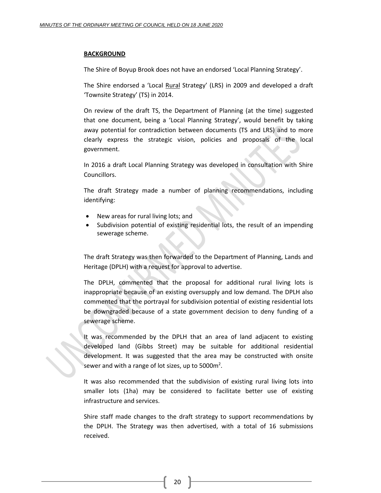#### **BACKGROUND**

The Shire of Boyup Brook does not have an endorsed 'Local Planning Strategy'.

The Shire endorsed a 'Local Rural Strategy' (LRS) in 2009 and developed a draft 'Townsite Strategy' (TS) in 2014.

On review of the draft TS, the Department of Planning (at the time) suggested that one document, being a 'Local Planning Strategy', would benefit by taking away potential for contradiction between documents (TS and LRS) and to more clearly express the strategic vision, policies and proposals of the local government.

In 2016 a draft Local Planning Strategy was developed in consultation with Shire Councillors.

The draft Strategy made a number of planning recommendations, including identifying:

- New areas for rural living lots; and
- Subdivision potential of existing residential lots, the result of an impending sewerage scheme.

The draft Strategy was then forwarded to the Department of Planning, Lands and Heritage (DPLH) with a request for approval to advertise.

The DPLH, commented that the proposal for additional rural living lots is inappropriate because of an existing oversupply and low demand. The DPLH also commented that the portrayal for subdivision potential of existing residential lots be downgraded because of a state government decision to deny funding of a sewerage scheme.

It was recommended by the DPLH that an area of land adjacent to existing developed land (Gibbs Street) may be suitable for additional residential development. It was suggested that the area may be constructed with onsite sewer and with a range of lot sizes, up to 5000 $m^2$ .

It was also recommended that the subdivision of existing rural living lots into smaller lots (1ha) may be considered to facilitate better use of existing infrastructure and services.

Shire staff made changes to the draft strategy to support recommendations by the DPLH. The Strategy was then advertised, with a total of 16 submissions received.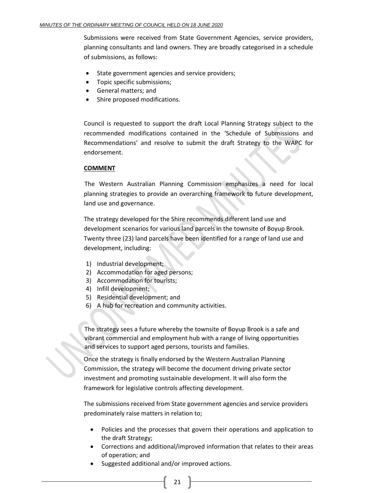Submissions were received from State Government Agencies, service providers, planning consultants and land owners. They are broadly categorised in a schedule of submissions, as follows:

- State government agencies and service providers;
- Topic specific submissions;
- General matters; and
- Shire proposed modifications.

Council is requested to support the draft Local Planning Strategy subject to the recommended modifications contained in the 'Schedule of Submissions and Recommendations' and resolve to submit the draft Strategy to the WAPC for endorsement.

#### **COMMENT**

The Western Australian Planning Commission emphasizes a need for local planning strategies to provide an overarching framework to future development, land use and governance.

The strategy developed for the Shire recommends different land use and development scenarios for various land parcels in the townsite of Boyup Brook. Twenty three (23) land parcels have been identified for a range of land use and development, including:

- 1) Industrial development;
- 2) Accommodation for aged persons;
- 3) Accommodation for tourists;
- 4) Infill development;
- 5) Residential development; and
- 6) A hub for recreation and community activities.

The strategy sees a future whereby the townsite of Boyup Brook is a safe and vibrant commercial and employment hub with a range of living opportunities and services to support aged persons, tourists and families.

Once the strategy is finally endorsed by the Western Australian Planning Commission, the strategy will become the document driving private sector investment and promoting sustainable development. It will also form the framework for legislative controls affecting development.

The submissions received from State government agencies and service providers predominately raise matters in relation to;

- Policies and the processes that govern their operations and application to the draft Strategy;
- Corrections and additional/improved information that relates to their areas of operation; and
- Suggested additional and/or improved actions.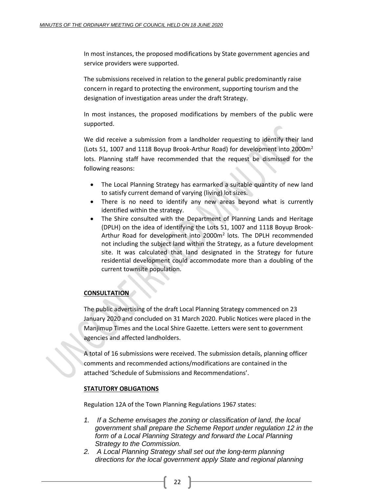In most instances, the proposed modifications by State government agencies and service providers were supported.

The submissions received in relation to the general public predominantly raise concern in regard to protecting the environment, supporting tourism and the designation of investigation areas under the draft Strategy.

In most instances, the proposed modifications by members of the public were supported.

We did receive a submission from a landholder requesting to identify their land (Lots 51, 1007 and 1118 Boyup Brook-Arthur Road) for development into 2000 $m<sup>2</sup>$ lots. Planning staff have recommended that the request be dismissed for the following reasons:

- The Local Planning Strategy has earmarked a suitable quantity of new land to satisfy current demand of varying (living) lot sizes.
- There is no need to identify any new areas beyond what is currently identified within the strategy.
- The Shire consulted with the Department of Planning Lands and Heritage (DPLH) on the idea of identifying the Lots 51, 1007 and 1118 Boyup Brook-Arthur Road for development into 2000m<sup>2</sup> lots. The DPLH recommended not including the subject land within the Strategy, as a future development site. It was calculated that land designated in the Strategy for future residential development could accommodate more than a doubling of the current townsite population.

#### **CONSULTATION**

The public advertising of the draft Local Planning Strategy commenced on 23 January 2020 and concluded on 31 March 2020. Public Notices were placed in the Manjimup Times and the Local Shire Gazette. Letters were sent to government agencies and affected landholders.

A total of 16 submissions were received. The submission details, planning officer comments and recommended actions/modifications are contained in the attached 'Schedule of Submissions and Recommendations'.

#### **STATUTORY OBLIGATIONS**

Regulation 12A of the Town Planning Regulations 1967 states:

- *1. If a Scheme envisages the zoning or classification of land, the local government shall prepare the Scheme Report under regulation 12 in the*  form of a Local Planning Strategy and forward the Local Planning *Strategy to the Commission.*
- *2. A Local Planning Strategy shall set out the long-term planning directions for the local government apply State and regional planning*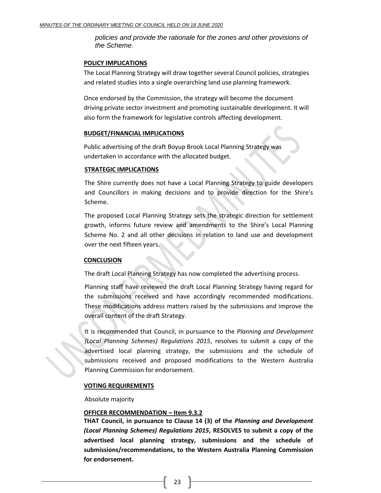*policies and provide the rationale for the zones and other provisions of the Scheme.*

#### **POLICY IMPLICATIONS**

The Local Planning Strategy will draw together several Council policies, strategies and related studies into a single overarching land use planning framework.

Once endorsed by the Commission, the strategy will become the document driving private sector investment and promoting sustainable development. It will also form the framework for legislative controls affecting development.

#### **BUDGET/FINANCIAL IMPLICATIONS**

Public advertising of the draft Boyup Brook Local Planning Strategy was undertaken in accordance with the allocated budget.

#### **STRATEGIC IMPLICATIONS**

The Shire currently does not have a Local Planning Strategy to guide developers and Councillors in making decisions and to provide direction for the Shire's Scheme.

The proposed Local Planning Strategy sets the strategic direction for settlement growth, informs future review and amendments to the Shire's Local Planning Scheme No. 2 and all other decisions in relation to land use and development over the next fifteen years.

#### **CONCLUSION**

The draft Local Planning Strategy has now completed the advertising process.

Planning staff have reviewed the draft Local Planning Strategy having regard for the submissions received and have accordingly recommended modifications. These modifications address matters raised by the submissions and improve the overall content of the draft Strategy.

It is recommended that Council, in pursuance to the *Planning and Development (Local Planning Schemes) Regulations 2015*, resolves to submit a copy of the advertised local planning strategy, the submissions and the schedule of submissions received and proposed modifications to the Western Australia Planning Commission for endorsement.

#### **VOTING REQUIREMENTS**

Absolute majority

#### **OFFICER RECOMMENDATION – Item 9.3.2**

**THAT Council, in pursuance to Clause 14 (3) of the** *Planning and Development (Local Planning Schemes) Regulations 2015***, RESOLVES to submit a copy of the advertised local planning strategy, submissions and the schedule of submissions/recommendations, to the Western Australia Planning Commission for endorsement.**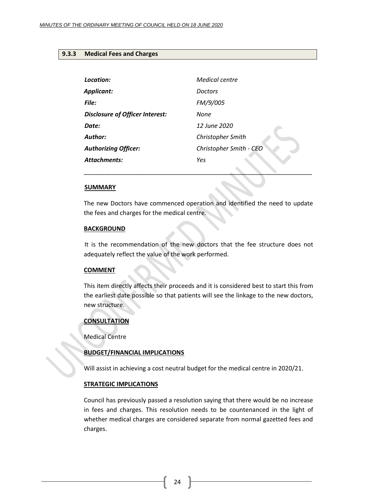#### <span id="page-23-0"></span>**9.3.3 Medical Fees and Charges**

| <b>Medical centre</b>   |
|-------------------------|
| <b>Doctors</b>          |
| FM/9/005                |
| None                    |
| 12 June 2020            |
| Christopher Smith       |
| Christopher Smith - CEO |
| Yes                     |
|                         |

#### **SUMMARY**

The new Doctors have commenced operation and identified the need to update the fees and charges for the medical centre.

\_\_\_\_\_\_\_\_\_\_\_\_\_\_\_\_\_\_\_\_\_\_\_\_\_\_\_\_\_\_\_\_\_\_\_\_\_\_\_\_\_\_\_\_\_\_\_\_\_\_\_\_\_\_\_\_\_\_\_\_\_\_\_\_\_\_\_

#### **BACKGROUND**

It is the recommendation of the new doctors that the fee structure does not adequately reflect the value of the work performed.

#### **COMMENT**

This item directly affects their proceeds and it is considered best to start this from the earliest date possible so that patients will see the linkage to the new doctors, new structure.

#### **CONSULTATION**

Medical Centre

#### **BUDGET/FINANCIAL IMPLICATIONS**

Will assist in achieving a cost neutral budget for the medical centre in 2020/21.

#### **STRATEGIC IMPLICATIONS**

Council has previously passed a resolution saying that there would be no increase in fees and charges. This resolution needs to be countenanced in the light of whether medical charges are considered separate from normal gazetted fees and charges.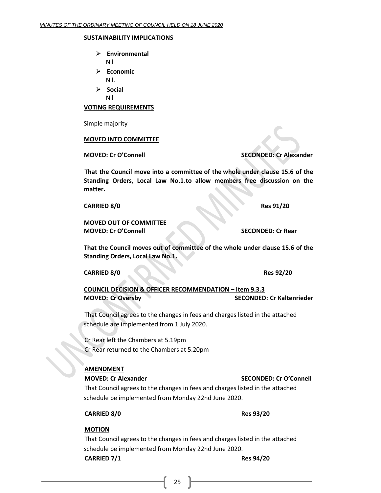#### **SUSTAINABILITY IMPLICATIONS**

- ➢ **Environmental** Nil
- ➢ **Economic** Nil.
- ➢ **Socia**l Nil

#### **VOTING REQUIREMENTS**

Simple majority

#### **MOVED INTO COMMITTEE**

**MOVED: Cr O'Connell SECONDED: Cr Alexander**

**That the Council move into a committee of the whole under clause 15.6 of the Standing Orders, Local Law No.1**.**to allow members free discussion on the matter.**

**CARRIED 8/0 Res 91/20**

**MOVED OUT OF COMMITTEE MOVED: Cr O'Connell SECONDED: Cr Rear**

**That the Council moves out of committee of the whole under clause 15.6 of the Standing Orders, Local Law No.1.**

**CARRIED 8/0 Res** 92/20

**COUNCIL DECISION & OFFICER RECOMMENDATION – Item 9.3.3 MOVED: Cr Oversby SECONDED: Cr Kaltenrieder**

That Council agrees to the changes in fees and charges listed in the attached schedule are implemented from 1 July 2020.

Cr Rear left the Chambers at 5.19pm Cr Rear returned to the Chambers at 5.20pm

#### **AMENDMENT**

**MOVED: Cr Alexander SECONDED: Cr O'Connell**

That Council agrees to the changes in fees and charges listed in the attached schedule be implemented from Monday 22nd June 2020.

**CARRIED 8/0 Res 93/20**

#### **MOTION**

That Council agrees to the changes in fees and charges listed in the attached schedule be implemented from Monday 22nd June 2020. **CARRIED 7/1 Res 94/20**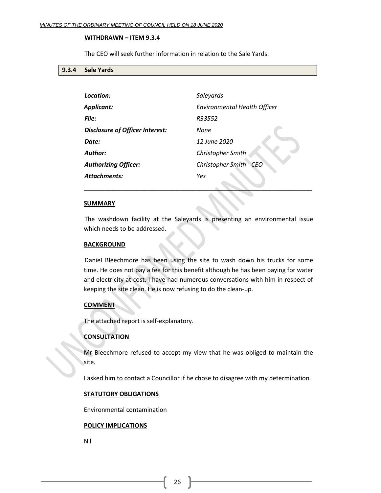#### **WITHDRAWN – ITEM 9.3.4**

The CEO will seek further information in relation to the Sale Yards.

#### <span id="page-25-0"></span>**9.3.4 Sale Yards**

| Location:                              | Saleyards                           |
|----------------------------------------|-------------------------------------|
| Applicant:                             | <b>Environmental Health Officer</b> |
| File:                                  | R33552                              |
| <b>Disclosure of Officer Interest:</b> | None                                |
| Date:                                  | 12 June 2020                        |
| <b>Author:</b>                         | Christopher Smith                   |
| <b>Authorizing Officer:</b>            | Christopher Smith - CEO             |
| <b>Attachments:</b>                    | Yes                                 |
|                                        |                                     |

#### **SUMMARY**

The washdown facility at the Saleyards is presenting an environmental issue which needs to be addressed.

\_\_\_\_\_\_\_\_\_\_\_\_\_\_\_\_\_\_\_\_\_\_\_\_\_\_\_\_\_\_\_\_\_\_\_\_\_\_\_\_\_\_\_\_\_\_\_\_\_\_\_\_\_\_\_\_\_\_\_\_\_\_\_\_\_\_\_

#### **BACKGROUND**

Daniel Bleechmore has been using the site to wash down his trucks for some time. He does not pay a fee for this benefit although he has been paying for water and electricity at cost. I have had numerous conversations with him in respect of keeping the site clean. He is now refusing to do the clean-up.

#### **COMMENT**

The attached report is self-explanatory.

#### **CONSULTATION**

Mr Bleechmore refused to accept my view that he was obliged to maintain the site.

I asked him to contact a Councillor if he chose to disagree with my determination.

#### **STATUTORY OBLIGATIONS**

Environmental contamination

#### **POLICY IMPLICATIONS**

Nil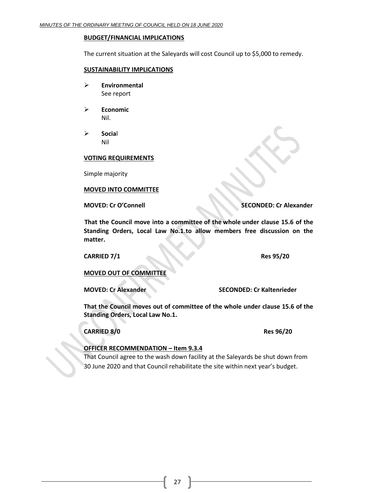#### **BUDGET/FINANCIAL IMPLICATIONS**

The current situation at the Saleyards will cost Council up to \$5,000 to remedy.

#### **SUSTAINABILITY IMPLICATIONS**

- ➢ **Environmental** See report
- ➢ **Economic** Nil.
- ➢ **Socia**l Nil

#### **VOTING REQUIREMENTS**

Simple majority

#### **MOVED INTO COMMITTEE**

**MOVED: Cr O'Connell SECONDED: Cr Alexander**

**That the Council move into a committee of the whole under clause 15.6 of the Standing Orders, Local Law No.1**.**to allow members free discussion on the matter.**

**CARRIED 7/1 Res 95/20**

#### **MOVED OUT OF COMMITTEE**

**MOVED: Cr Alexander SECONDED: Cr Kaltenrieder**

**That the Council moves out of committee of the whole under clause 15.6 of the Standing Orders, Local Law No.1.**

**CARRIED 8/0 Res 96/20**

#### **OFFICER RECOMMENDATION – Item 9.3.4**

That Council agree to the wash down facility at the Saleyards be shut down from 30 June 2020 and that Council rehabilitate the site within next year's budget.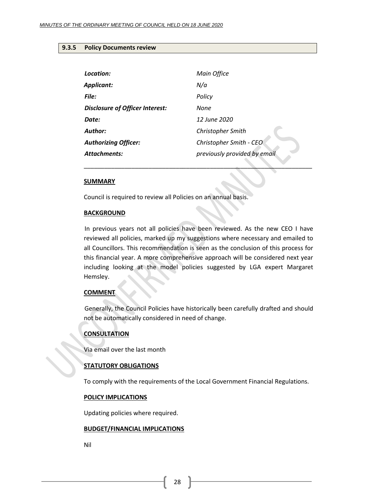#### <span id="page-27-0"></span>**9.3.5 Policy Documents review**

| Location:                       | Main Office                  |
|---------------------------------|------------------------------|
| <b>Applicant:</b>               | N/a                          |
| File:                           | Policy                       |
| Disclosure of Officer Interest: | None                         |
| Date:                           | 12 June 2020                 |
| Author:                         | Christopher Smith            |
| <b>Authorizing Officer:</b>     | Christopher Smith - CEO      |
| <b>Attachments:</b>             | previously provided by email |
|                                 |                              |

#### **SUMMARY**

Council is required to review all Policies on an annual basis.

#### **BACKGROUND**

In previous years not all policies have been reviewed. As the new CEO I have reviewed all policies, marked up my suggestions where necessary and emailed to all Councillors. This recommendation is seen as the conclusion of this process for this financial year. A more comprehensive approach will be considered next year including looking at the model policies suggested by LGA expert Margaret Hemsley.

#### **COMMENT**

Generally, the Council Policies have historically been carefully drafted and should not be automatically considered in need of change.

#### **CONSULTATION**

Via email over the last month

#### **STATUTORY OBLIGATIONS**

To comply with the requirements of the Local Government Financial Regulations.

#### **POLICY IMPLICATIONS**

Updating policies where required.

#### **BUDGET/FINANCIAL IMPLICATIONS**

Nil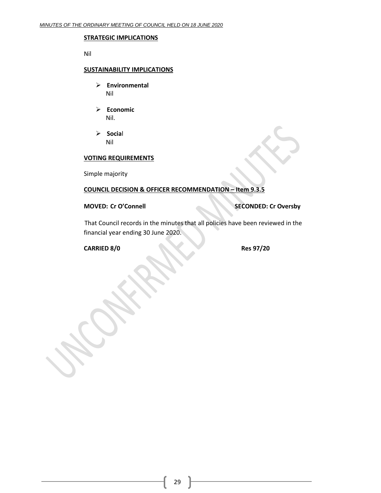#### **STRATEGIC IMPLICATIONS**

Nil

#### **SUSTAINABILITY IMPLICATIONS**

- ➢ **Environmental** Nil
- ➢ **Economic** Nil.
- ➢ **Socia**l Nil

#### **VOTING REQUIREMENTS**

Simple majority

#### **COUNCIL DECISION & OFFICER RECOMMENDATION – Item 9.3.5**

#### **MOVED: Cr O'Connell SECONDED: Cr Oversby**

That Council records in the minutes that all policies have been reviewed in the financial year ending 30 June 2020.

#### **CARRIED 8/0 Res 97/20**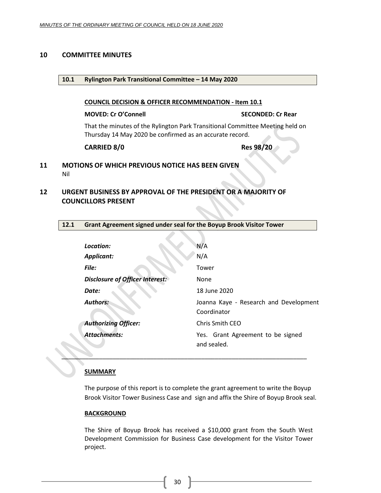#### <span id="page-29-1"></span><span id="page-29-0"></span>**10 COMMITTEE MINUTES**

#### **10.1 Rylington Park Transitional Committee – 14 May 2020**

#### **COUNCIL DECISION & OFFICER RECOMMENDATION - Item 10.1**

#### **MOVED: Cr O'Connell SECONDED: Cr Rear**

That the minutes of the Rylington Park Transitional Committee Meeting held on Thursday 14 May 2020 be confirmed as an accurate record.

#### **CARRIED 8/0 Res 98/20**

#### <span id="page-29-2"></span>**11 MOTIONS OF WHICH PREVIOUS NOTICE HAS BEEN GIVEN** Nil

## <span id="page-29-3"></span>**12 URGENT BUSINESS BY APPROVAL OF THE PRESIDENT OR A MAJORITY OF COUNCILLORS PRESENT**

#### <span id="page-29-4"></span>**12.1 Grant Agreement signed under seal for the Boyup Brook Visitor Tower**

| Location:                       | N/A                                                   |
|---------------------------------|-------------------------------------------------------|
| <b>Applicant:</b>               | N/A                                                   |
| File:                           | Tower                                                 |
| Disclosure of Officer Interest: | None                                                  |
| Date:                           | 18 June 2020                                          |
| <b>Authors:</b>                 | Joanna Kaye - Research and Development<br>Coordinator |
| <b>Authorizing Officer:</b>     | Chris Smith CEO                                       |
| <b>Attachments:</b>             | Yes. Grant Agreement to be signed<br>and sealed.      |

#### **SUMMARY**

The purpose of this report is to complete the grant agreement to write the Boyup Brook Visitor Tower Business Case and sign and affix the Shire of Boyup Brook seal.

*\_\_\_\_\_\_\_\_\_\_\_\_\_\_\_\_\_\_\_\_\_\_\_\_\_\_\_\_\_\_\_\_\_\_\_\_\_\_\_\_\_\_\_\_\_\_\_\_\_\_\_\_\_\_\_\_\_\_\_\_\_\_\_\_\_\_\_\_\_\_\_\_*

#### **BACKGROUND**

The Shire of Boyup Brook has received a \$10,000 grant from the South West Development Commission for Business Case development for the Visitor Tower project.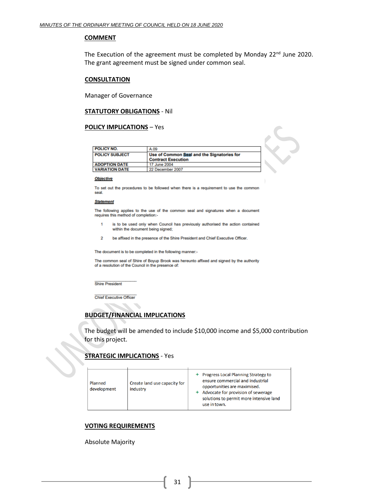#### **COMMENT**

The Execution of the agreement must be completed by Monday 22<sup>nd</sup> June 2020. The grant agreement must be signed under common seal.

#### **CONSULTATION**

Manager of Governance

#### **STATUTORY OBLIGATIONS** - Nil

#### **POLICY IMPLICATIONS** – Yes

| <b>POLICY NO.</b>     | A.09                                                                    |
|-----------------------|-------------------------------------------------------------------------|
| <b>POLICY SUBJECT</b> | Use of Common Seal and the Signatories for<br><b>Contract Execution</b> |
| <b>ADOPTION DATE</b>  | 17 June 2004                                                            |
| <b>VARIATION DATE</b> | 22 December 2007                                                        |

#### **Objective**

To set out the procedures to be followed when there is a requirement to use the common seal.

#### **Statement**

The following applies to the use of the common seal and signatures when a document requires this method of completion:-

- is to be used only when Council has previously authorised the action contained  $\mathbf{1}$ within the document being signed;
- $\overline{2}$ be affixed in the presence of the Shire President and Chief Executive Officer.

The document is to be completed in the following manner:-

The common seal of Shire of Boyup Brook was hereunto affixed and signed by the authority of a resolution of the Council in the presence of:

**Shire President** 

**Chief Executive Officer** 

 $\overline{\phantom{a}}$ 

#### **BUDGET/FINANCIAL IMPLICATIONS**

The budget will be amended to include \$10,000 income and \$5,000 contribution for this project.

#### **STRATEGIC IMPLICATIONS** - Yes  $\mathbf{r}$

| Create land use capacity for<br>Planned<br>development<br>industry | <b>Progress Local Planning Strategy to</b><br>ensure commercial and industrial<br>opportunities are maximised.<br>Advocate for provision of sewerage<br>solutions to permit more intensive land<br>use in town. |
|--------------------------------------------------------------------|-----------------------------------------------------------------------------------------------------------------------------------------------------------------------------------------------------------------|
|--------------------------------------------------------------------|-----------------------------------------------------------------------------------------------------------------------------------------------------------------------------------------------------------------|

#### **VOTING REQUIREMENTS**

Absolute Majority